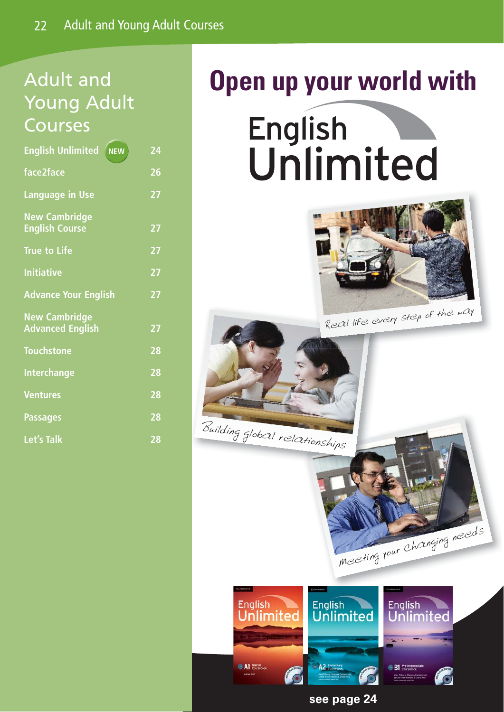# Adult and Young Adult Courses

| <b>English Unlimited</b><br><b>NEW</b>          | 24 |
|-------------------------------------------------|----|
| face2face                                       | 26 |
| Language in Use                                 | 27 |
| <b>New Cambridge</b><br><b>English Course</b>   | 27 |
| <b>True to Life</b>                             | 27 |
| <b>Initiative</b>                               | 27 |
| <b>Advance Your English</b>                     | 27 |
| <b>New Cambridge</b><br><b>Advanced English</b> | 27 |
| <b>Touchstone</b>                               | 28 |
| <b>Interchange</b>                              | 28 |
| <b>Ventures</b>                                 | 28 |
| <b>Passages</b>                                 | 28 |
| <b>Let's Talk</b>                               | 28 |

# **Open up your world with**

English Unlimited





Building global relationships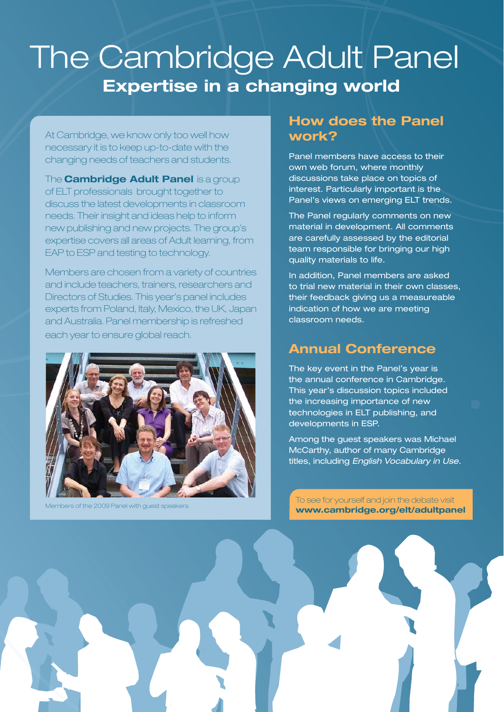# The Cambridge Adult Panel **Expertise in a changing world**

At Cambridge, we know only too well how necessary it is to keep up-to-date with the changing needs of teachers and students.

The **Cambridge Adult Panel** is a group of ELT professionals brought together to discuss the latest developments in classroom needs. Their insight and ideas help to inform new publishing and new projects. The group's expertise covers all areas of Adult learning, from EAP to ESP and testing to technology.

Members are chosen from a variety of countries and include teachers, trainers, researchers and Directors of Studies. This year's panel includes experts from Poland, Italy, Mexico, the UK, Japan and Australia. Panel membership is refreshed each year to ensure global reach.



#### **How does the Panel work?**

Panel members have access to their own web forum, where monthly discussions take place on topics of interest. Particularly important is the Panel's views on emerging ELT trends.

The Panel regularly comments on new material in development. All comments are carefully assessed by the editorial team responsible for bringing our high quality materials to life.

In addition, Panel members are asked to trial new material in their own classes, their feedback giving us a measureable indication of how we are meeting classroom needs.

#### **Annual Conference**

The key event in the Panel's year is the annual conference in Cambridge. This year's discussion topics included the increasing importance of new technologies in ELT publishing, and developments in ESP.

Among the guest speakers was Michael McCarthy, author of many Cambridge titles, including English Vocabulary in Use.

of the 2009 Panel with quest speakers. To see for yourself and join the debate visit **www.cambridge.org/elt/adultpanel**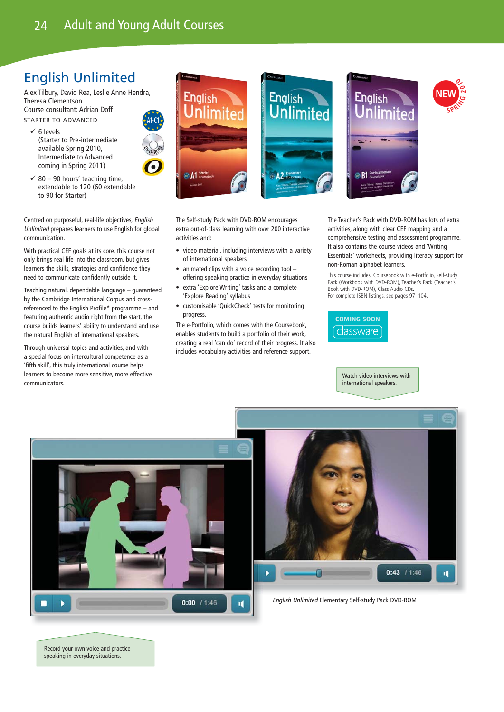### English Unlimited

Alex Tilbury, David Rea, Leslie Anne Hendra, Theresa Clementson Course consultant: Adrian Doff STARTER TO ADVANCED

- $\times$  6 levels (Starter to Pre-intermediate available Spring 2010, Intermediate to Advanced coming in Spring 2011)
- **A1-C1 <sup>D</sup><sup>V</sup> <sup>D</sup>-R<sup>O</sup> <sup>M</sup>**
- $\checkmark$  80 90 hours' teaching time, extendable to 120 (60 extendable to 90 for Starter)

Centred on purposeful, real-life objectives, English Unlimited prepares learners to use English for global communication.

With practical CEF goals at its core, this course not only brings real life into the classroom, but gives learners the skills, strategies and confidence they need to communicate confidently outside it.

Teaching natural, dependable language – guaranteed by the Cambridge International Corpus and crossreferenced to the English Profile\* programme – and featuring authentic audio right from the start, the course builds learners' ability to understand and use the natural English of international speakers.

Through universal topics and activities, and with a special focus on intercultural competence as a 'fifth skill', this truly international course helps learners to become more sensitive, more effective communicators.



The Self-study Pack with DVD-ROM encourages extra out-of-class learning with over 200 interactive activities and:

- video material, including interviews with a variety of international speakers
- animated clips with a voice recording tool offering speaking practice in everyday situations
- extra 'Explore Writing' tasks and a complete 'Explore Reading' syllabus
- customisable 'QuickCheck' tests for monitoring progress.

The e-Portfolio, which comes with the Coursebook, enables students to build a portfolio of their work, creating a real 'can do' record of their progress. It also includes vocabulary activities and reference support.

The Teacher's Pack with DVD-ROM has lots of extra activities, along with clear CEF mapping and a comprehensive testing and assessment programme. It also contains the course videos and 'Writing Essentials' worksheets, providing literacy support for non-Roman alphabet learners.

This course includes: Coursebook with e-Portfolio, Self-study Pack (Workbook with DVD-ROM), Teacher's Pack (Teacher's Book with DVD-ROM), Class Audio CDs. For complete ISBN listings, see pages 97–104.



Watch video interviews with international speakers.



Record your own voice and practice speaking in everyday situations.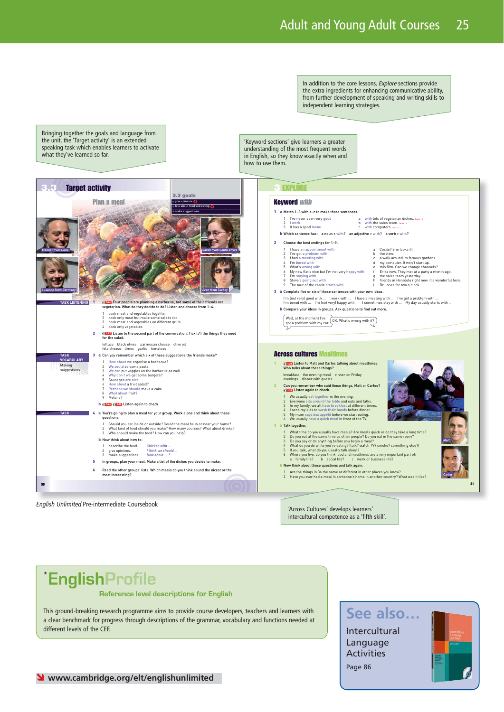In addition to the core lessons, Explore sections provide the extra ingredients for enhancing communicative ability, from further development of speaking and writing skills to independent learning strategies.

Bringing together the goals and language from the unit, the 'Target activity' is an extended speaking task which enables learners to activate what they've learned so far.

'Keyword sections' give learners a greater understanding of the most frequent words in English, so they know exactly when and how to use them.



English Unlimited Pre-intermediate Coursebook

'Across Cultures' develops learners' intercultural competence as a 'fifth skill'.

## \*EnglishProfile

#### Reference level descriptions for English

This ground-breaking research programme aims to provide course developers, teachers and learners with a clear benchmark for progress through descriptions of the grammar, vocabulary and functions needed at different levels of the CEF.

### **See also…**

Intercultural Language Activities Page 86

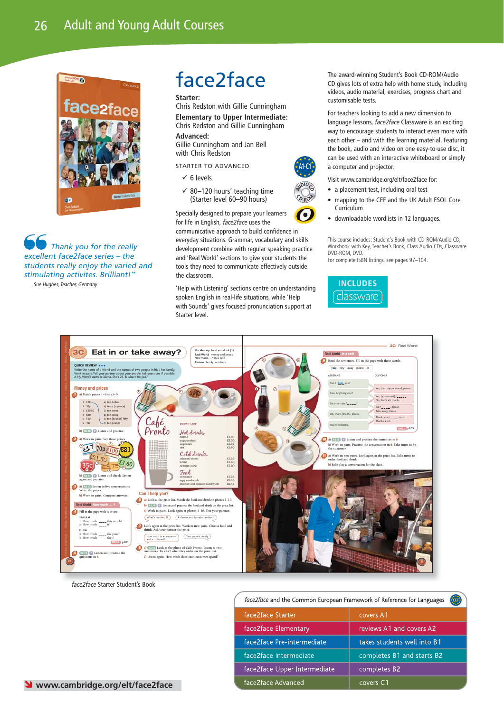

Thank you for the really excellent face2face series – the students really enjoy the varied and stimulating activites. Brilliant!" Sue Hughes, Teacher, Germany

## face2face

**Starter:**

Chris Redston with Gillie Cunningham **Elementary to Upper Intermediate:** Chris Redston and Gillie Cunningham

**Advanced:**

Gillie Cunningham and Jan Bell with Chris Redston

STARTER TO ADVANCED

- $\times$  6 levels
- $\checkmark$  80–120 hours' teaching time (Starter level 60–90 hours)

Specially designed to prepare your learners for life in English, face2face uses the

communicative approach to build confidence in everyday situations. Grammar, vocabulary and skills development combine with regular speaking practice and 'Real World' sections to give your students the tools they need to communicate effectively outside the classroom.

**A1-C1**

 $6.804$  $\frac{1}{2}$ 

'Help with Listening' sections centre on understanding spoken English in real-life situations, while 'Help with Sounds' gives focused pronunciation support at Starter level.

The award-winning Student's Book CD-ROM/Audio CD gives lots of extra help with home study, including videos, audio material, exercises, progress chart and customisable tests.

For teachers looking to add a new dimension to language lessons, face2face Classware is an exciting way to encourage students to interact even more with each other – and with the learning material. Featuring the book, audio and video on one easy-to-use disc, it can be used with an interactive whiteboard or simply a computer and projector.

Visit www.cambridge.org/elt/face2face for:

- $\bullet$  a placement test, including oral test
- mapping to the CEF and the UK Adult ESOL Core Curriculum
- downloadable wordlists in 12 languages.

This course includes: Student's Book with CD-ROM/Audio CD, Workbook with Key, Teacher's Book, Class Audio CDs, Classware DVD-ROM, DVD. For complete ISBN listings, see pages 97–104.





face2face Intermediate

face2face Advanced

face2face Upper Intermediate

face2face Starter Student's Book

face2face and the Common European Framework of Reference for Languages face2face Starter covers A1 face2face Elementary reviews A1 and covers A2 face2face Pre-intermediate takes students well into B1

completes B1 and starts B2

completes B2

covers C1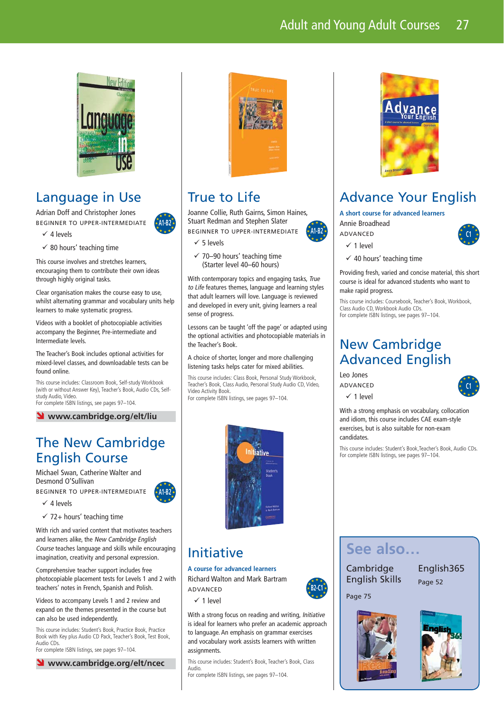### Adult and Young Adult Courses 27



#### Language in Use

Adrian Doff and Christopher Jones BEGINNER TO UPPER-INTERMEDIATE



**A1-B2**

 $\checkmark$  80 hours' teaching time

 $\checkmark$  4 levels

This course involves and stretches learners, encouraging them to contribute their own ideas through highly original tasks.

Clear organisation makes the course easy to use, whilst alternating grammar and vocabulary units help learners to make systematic progress.

Videos with a booklet of photocopiable activities accompany the Beginner, Pre-intermediate and Intermediate levels.

The Teacher's Book includes optional activities for mixed-level classes, and downloadable tests can be found online.

This course includes: Classroom Book, Self-study Workbook (with or without Answer Key), Teacher's Book, Audio CDs, Selfstudy Audio, Video. For complete ISBN listings, see pages 97–104.

#### Ó **www.cambridge.org/elt/liu**

#### The New Cambridge English Course

Michael Swan, Catherine Walter and Desmond O'Sullivan

BEGINNER TO UPPER-INTERMEDIATE

- $\checkmark$  4 levels
- $\checkmark$  72+ hours' teaching time

With rich and varied content that motivates teachers and learners alike, the New Cambridge English Course teaches language and skills while encouraging imagination, creativity and personal expression.

Comprehensive teacher support includes free photocopiable placement tests for Levels 1 and 2 with teachers' notes in French, Spanish and Polish.

Videos to accompany Levels 1 and 2 review and expand on the themes presented in the course but can also be used independently.

This course includes: Student's Book, Practice Book, Practice Book with Key plus Audio CD Pack, Teacher's Book, Test Book, Audio CDs. For complete ISBN listings, see pages 97–104.





#### True to Life

Joanne Collie, Ruth Gairns, Simon Haines, Stuart Redman and Stephen Slater BEGINNER TO UPPER-INTERMEDIATE **A1-B2**

- $\times$  5 levels
- $\checkmark$  70–90 hours' teaching time (Starter level 40–60 hours)

With contemporary topics and engaging tasks, True to Life features themes, language and learning styles that adult learners will love. Language is reviewed and developed in every unit, giving learners a real sense of progress.

Lessons can be taught 'off the page' or adapted using the optional activities and photocopiable materials in the Teacher's Book.

#### A choice of shorter, longer and more challenging listening tasks helps cater for mixed abilities.

This course includes: Class Book, Personal Study Workbook, Teacher's Book, Class Audio, Personal Study Audio CD, Video, Video Activity Book.

For complete ISBN listings, see pages 97–104.



#### Initiative

**A course for advanced learners** Richard Walton and Mark Bartram

ADVANCED

 $\sqrt{1}$  level

With a strong focus on reading and writing, *Initiative* is ideal for learners who prefer an academic approach to language. An emphasis on grammar exercises and vocabulary work assists learners with written assignments.

This course includes: Student's Book, Teacher's Book, Class Audio.

For complete ISBN listings, see pages 97–104.



### Advance Your English

**A short course for advanced learners**





**C1**

 $\checkmark$  1 level

 $\checkmark$  40 hours' teaching time

Providing fresh, varied and concise material, this short course is ideal for advanced students who want to make rapid progress.

This course includes: Coursebook, Teacher's Book, Workbook, Class Audio CD, Workbook Audio CDs. For complete ISBN listings, see pages 97–104.

#### New Cambridge Advanced English

Leo Jones

ADVANCED



With a strong emphasis on vocabulary, collocation and idiom, this course includes CAE exam-style exercises, but is also suitable for non-exam candidates.

This course includes: Student's Book,Teacher's Book, Audio CDs. For complete ISBN listings, see pages 97–104.

#### **See also…**

Cambridge English Skills English365 Page 52

Page 75

**B2-C1**